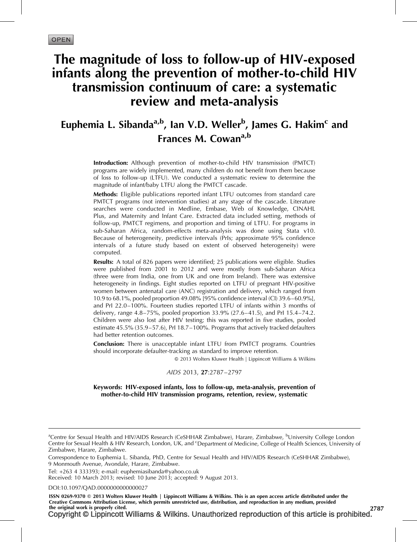# The magnitude of loss to follow-up of HIV-exposed infants along the prevention of mother-to-child HIV transmission continuum of care: a systematic review and meta-analysis

## Euphemia L. Sibanda<sup>a,b</sup>, Ian V.D. Weller<sup>b</sup>, James G. Hakim<sup>c</sup> and Frances M. Cowan<sup>a,b</sup>

Introduction: Although prevention of mother-to-child HIV transmission (PMTCT) programs are widely implemented, many children do not benefit from them because of loss to follow-up (LTFU). We conducted a systematic review to determine the magnitude of infant/baby LTFU along the PMTCT cascade.

Methods: Eligible publications reported infant LTFU outcomes from standard care PMTCT programs (not intervention studies) at any stage of the cascade. Literature searches were conducted in Medline, Embase, Web of Knowledge, CINAHL Plus, and Maternity and Infant Care. Extracted data included setting, methods of follow-up, PMTCT regimens, and proportion and timing of LTFU. For programs in sub-Saharan Africa, random-effects meta-analysis was done using Stata v10. Because of heterogeneity, predictive intervals (PrIs; approximate 95% confidence intervals of a future study based on extent of observed heterogeneity) were computed.

Results: A total of 826 papers were identified; 25 publications were eligible. Studies were published from 2001 to 2012 and were mostly from sub-Saharan Africa (three were from India, one from UK and one from Ireland). There was extensive heterogeneity in findings. Eight studies reported on LTFU of pregnant HIV-positive women between antenatal care (ANC) registration and delivery, which ranged from 10.9 to 68.1%, pooled proportion 49.08% [95% confidence interval (CI) 39.6–60.9%], and PrI 22.0–100%. Fourteen studies reported LTFU of infants within 3 months of delivery, range 4.8–75%, pooled proportion 33.9% (27.6–41.5), and PrI 15.4–74.2. Children were also lost after HIV testing; this was reported in five studies, pooled estimate 45.5% (35.9–57.6), PrI 18.7–100%. Programs that actively tracked defaulters had better retention outcomes.

Conclusion: There is unacceptable infant LTFU from PMTCT programs. Countries should incorporate defaulter-tracking as standard to improve retention.

2013 Wolters Kluwer Health | Lippincott Williams & Wilkins

#### AIDS 2013, 27*:*2787–2797

#### Keywords: HIV-exposed infants, loss to follow-up, meta-analysis, prevention of mother-to-child HIV transmission programs, retention, review, systematic

<sup>a</sup>Centre for Sexual Health and HIV/AIDS Research (CeSHHAR Zimbabwe), Harare, Zimbabwe, <sup>b</sup>University College London Centre for Sexual Health & HIV Research, London, UK, and <sup>c</sup>Department of Medicine, College of Health Sciences, University of Zimbabwe, Harare, Zimbabwe.

Correspondence to Euphemia L. Sibanda, PhD, Centre for Sexual Health and HIV/AIDS Research (CeSHHAR Zimbabwe), 9 Monmouth Avenue, Avondale, Harare, Zimbabwe.

Tel: +263 4 333393; e-mail: [euphemiasibanda@yahoo.co.uk](mailto:euphemiasibanda@yahoo.co.uk)

Received: 10 March 2013; revised: 10 June 2013; accepted: 9 August 2013.

DOI[:10.1097/QAD.0000000000000027](http://dx.doi.org/10.1097/QAD.0000000000000027)

ISSN 0269-9370 Q 2013 Wolters Kluwer Health | Lippincott Williams & Wilkins. This is an open access article distributed under the Creative Commons Attribution License, which permits unrestricted use, distribution, and reproduction in any medium, provided

Copyright © Lippincott Williams & Wilkins. Unauthorized reproduction of this article is prohibited. the original work is properly cited. 2787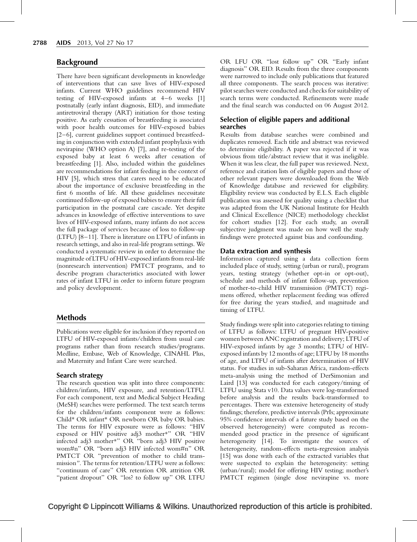## Background

There have been significant developments in knowledge of interventions that can save lives of HIV-exposed infants. Current WHO guidelines recommend HIV testing of HIV-exposed infants at 4–6 weeks [\[1\]](#page-9-0) postnatally (early infant diagnosis, EID), and immediate antiretroviral therapy (ART) initiation for those testing positive. As early cessation of breastfeeding is associated with poor health outcomes for HIV-exposed babies [\[2–6\]](#page-9-0), current guidelines support continued breastfeeding in conjunction with extended infant prophylaxis with nevirapine (WHO option A) [\[7\],](#page-9-0) and re-testing of the exposed baby at least 6 weeks after cessation of breastfeeding [\[1\].](#page-9-0) Also, included within the guidelines are recommendations for infant feeding in the context of HIV [\[5\],](#page-9-0) which stress that carers need to be educated about the importance of exclusive breastfeeding in the first 6 months of life. All these guidelines necessitate continued follow-up of exposed babies to ensure their full participation in the postnatal care cascade. Yet despite advances in knowledge of effective interventions to save lives of HIV-exposed infants, many infants do not access the full package of services because of loss to follow-up (LTFU) [\[8–11\].](#page-9-0) There is literature on LTFU of infants in research settings, and also in real-life program settings. We conducted a systematic review in order to determine the magnitude of LTFU of HIV-exposed infants from real-life (nonresearch intervention) PMTCT programs, and to describe program characteristics associated with lower rates of infant LTFU in order to inform future program and policy development.

## **Methods**

Publications were eligible for inclusion if they reported on LTFU of HIV-exposed infants/children from usual care programs rather than from research studies/programs. Medline, Embase, Web of Knowledge, CINAHL Plus, and Maternity and Infant Care were searched.

### Search strategy

The research question was split into three components: children/infants, HIV exposure, and retention/LTFU. For each component, text and Medical Subject Heading (MeSH) searches were performed. The text search terms for the children/infants component were as follows: Child\* OR infant\* OR newborn OR baby OR babies. The terms for HIV exposure were as follows: ''HIV exposed or HIV positive adj3 mother\*" OR "HIV infected adj3 mother'' OR ''born adj3 HIV positive wom#n'' OR ''born adj3 HIV infected wom#n'' OR PMTCT OR ''prevention of mother to child transmission''. The terms for retention/LTFU were as follows: ''continuum of care'' OR retention OR attrition OR "patient dropout" OR "los? to follow up" OR LTFU

OR LFU OR ''lost follow up'' OR ''Early infant diagnosis'' OR EID. Results from the three components were narrowed to include only publications that featured all three components. The search process was iterative: pilot searches were conducted and checks for suitability of search terms were conducted. Refinements were made and the final search was conducted on 06 August 2012.

## Selection of eligible papers and additional searches

Results from database searches were combined and duplicates removed. Each title and abstract was reviewed to determine eligibility. A paper was rejected if it was obvious from title/abstract review that it was ineligible. When it was less clear, the full paper was reviewed. Next, reference and citation lists of eligible papers and those of other relevant papers were downloaded from the Web of Knowledge database and reviewed for eligibility. Eligibility review was conducted by E.L.S. Each eligible publication was assessed for quality using a checklist that was adapted from the UK National Institute for Health and Clinical Excellence (NICE) methodology checklist for cohort studies [\[12\]](#page-9-0). For each study, an overall subjective judgment was made on how well the study findings were protected against bias and confounding.

### Data extraction and synthesis

Information captured using a data collection form included place of study, setting (urban or rural), program years, testing strategy (whether opt-in or opt-out), schedule and methods of infant follow-up, prevention of mother-to-child HIV transmission (PMTCT) regimens offered, whether replacement feeding was offered for free during the years studied, and magnitude and timing of LTFU.

Study findings were split into categories relating to timing of LTFU as follows: LTFU of pregnant HIV-positive women between ANC registration and delivery; LTFU of HIV-exposed infants by age 3 months; LTFU of HIVexposed infants by 12 months of age; LTFU by 18 months of age, and LTFU of infants after determination of HIV status. For studies in sub-Saharan Africa, random-effects meta-analysis using the method of DerSimonian and Laird [\[13\]](#page-9-0) was conducted for each category/timing of LTFU using Stata v10. Data values were log-transformed before analysis and the results back-transformed to percentages. There was extensive heterogeneity of study findings; therefore, predictive intervals (PrIs; approximate 95% confidence intervals of a future study based on the observed heterogeneity) were computed as recommended good practice in the presence of significant heterogeneity [\[14\].](#page-9-0) To investigate the sources of heterogeneity, random-effects meta-regression analysis [\[15\]](#page-9-0) was done with each of the extracted variables that were suspected to explain the heterogeneity: setting (urban/rural); model for offering HIV testing; mother's PMTCT regimen (single dose nevirapine vs. more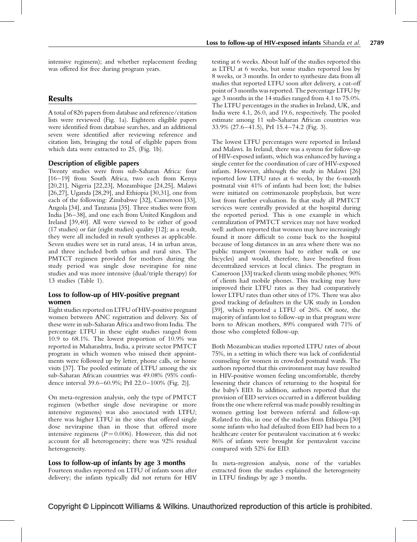intensive regimens); and whether replacement feeding was offered for free during program years.

## Results

A total of 826 papers from database and reference/citation lists were reviewed [\(Fig. 1](#page-3-0)a). Eighteen eligible papers were identified from database searches, and an additional seven were identified after reviewing reference and citation lists, bringing the total of eligible papers from which data were extracted to 25, [\(Fig. 1b](#page-3-0)).

#### Description of eligible papers

Twenty studies were from sub-Saharan Africa: four [\[16–19\]](#page-9-0) from South Africa, two each from Kenya [\[20,21\]](#page-9-0), Nigeria [\[22,23\],](#page-9-0) Mozambique [\[24,25\],](#page-9-0) Malawi [\[26,27\]](#page-9-0), Uganda [\[28,29\]](#page-9-0), and Ethiopia [\[30,31\]](#page-9-0), one from each of the following: Zimbabwe [\[32\],](#page-9-0) Cameroon [\[33\]](#page-9-0), Angola [\[34\],](#page-9-0) and Tanzania [\[35\]](#page-9-0). Three studies were from India [\[36–38\]](#page-10-0), and one each from United Kingdom and Ireland [\[39,40\]](#page-10-0). All were viewed to be either of good (17 studies) or fair (eight studies) quality [\[12\]](#page-9-0); as a result, they were all included in result syntheses as applicable. Seven studies were set in rural areas, 14 in urban areas, and three included both urban and rural sites. The PMTCT regimen provided for mothers during the study period was single dose nevirapine for nine studies and was more intensive (dual/triple therapy) for 13 studies [\(Table 1](#page-4-0)).

### Loss to follow-up of HIV-positive pregnant women

Eight studies reported on LTFU of HIV-positive pregnant women between ANC registration and delivery. Six of these were in sub-Saharan Africa and two from India. The percentage LTFU in these eight studies ranged from 10.9 to 68.1%. The lowest proportion of 10.9% was reported in Maharashtra, India, a private sector PMTCT program in which women who missed their appointments were followed up by letter, phone calls, or home visits [\[37\]](#page-10-0). The pooled estimate of LTFU among the six sub-Saharan African countries was 49.08% (95% confidence interval 39.6–60.9%; PrI 22.0–100% ([Fig. 2](#page-6-0))].

On meta-regression analysis, only the type of PMTCT regimen (whether single dose nevirapine or more intensive regimens) was also associated with LTFU; there was higher LTFU in the sites that offered single dose nevirapine than in those that offered more intensive regimens ( $P = 0.006$ ). However, this did not account for all heterogeneity; there was 92% residual heterogeneity.

#### Loss to follow-up of infants by age 3 months

Fourteen studies reported on LTFU of infants soon after delivery; the infants typically did not return for HIV testing at 6 weeks. About half of the studies reported this as LTFU at 6 weeks, but some studies reported loss by 8 weeks, or 3 months. In order to synthesize data from all studies that reported LTFU soon after delivery, a cut-off point of 3 months was reported. The percentage LTFU by age 3 months in the 14 studies ranged from 4.1 to 75.0%. The LTFU percentages in the studies in Ireland, UK, and India were 4.1, 26.0, and 19.6, respectively. The pooled estimate among 11 sub-Saharan African countries was 33.9% (27.6–41.5), PrI 15.4–74.2 ([Fig. 3](#page-6-0)).

The lowest LTFU percentages were reported in Ireland and Malawi. In Ireland, there was a system for follow-up of HIV-exposed infants, which was enhanced by having a single center for the coordination of care of HIV-exposed infants. However, although the study in Malawi [\[26\]](#page-9-0) reported low LTFU rates at 6 weeks, by the 6-month postnatal visit 41% of infants had been lost; the babies were initiated on cotrimoxazole prophylaxis, but were lost from further evaluation. In that study all PMTCT services were centrally provided at the hospital during the reported period. This is one example in which centralization of PMTCT services may not have worked well: authors reported that women may have increasingly found it more difficult to come back to the hospital because of long distances in an area where there was no public transport (women had to either walk or use bicycles) and would, therefore, have benefited from decentralized services at local clinics. The program in Cameroon [\[33\]](#page-9-0) tracked clients using mobile phones; 90% of clients had mobile phones. This tracking may have improved their LTFU rates as they had comparatively lower LTFU rates than other sites of 17%. There was also good tracking of defaulters in the UK study in London [\[39\]](#page-10-0), which reported a LTFU of 26%. Of note, the majority of infants lost to follow-up in that program were born to African mothers, 89% compared with 71% of those who completed follow-up.

Both Mozambican studies reported LTFU rates of about 75%, in a setting in which there was lack of confidential counseling for women in crowded postnatal wards. The authors reported that this environment may have resulted in HIV-positive women feeling uncomfortable, thereby lessening their chances of returning to the hospital for the baby's EID. In addition, authors reported that the provision of EID services occurred in a different building from the one where referral was made possibly resulting in women getting lost between referral and follow-up. Related to this, in one of the studies from Ethiopia [\[30\]](#page-9-0) some infants who had defaulted from EID had been to a healthcare center for pentavalent vaccination at 6 weeks: 86% of infants were brought for pentavalent vaccine compared with 52% for EID.

In meta-regression analysis, none of the variables extracted from the studies explained the heterogeneity in LTFU findings by age 3 months.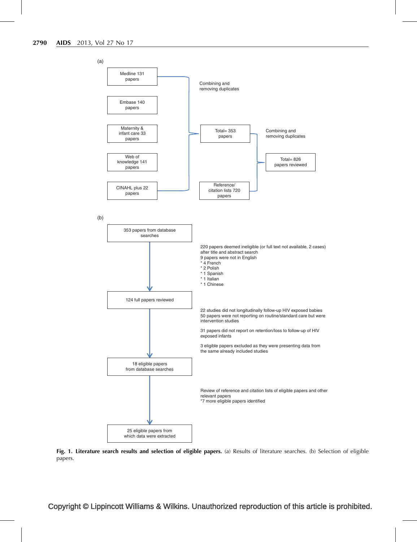<span id="page-3-0"></span>

Fig. 1. Literature search results and selection of eligible papers. (a) Results of literature searches. (b) Selection of eligible papers.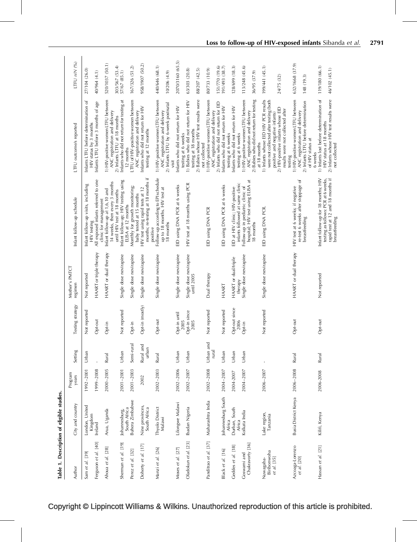<span id="page-4-0"></span>

|                                         | Table 1. Description of eligible studies |                  |                    |                              |                                      |                                                                                                                                  |                                                                                                                                                                                                           |                                  |
|-----------------------------------------|------------------------------------------|------------------|--------------------|------------------------------|--------------------------------------|----------------------------------------------------------------------------------------------------------------------------------|-----------------------------------------------------------------------------------------------------------------------------------------------------------------------------------------------------------|----------------------------------|
| Author                                  | City and country                         | Program<br>years | Setting            | Testing strategy             | Mother's PMTCT<br>regimen            | Infant follow-up schedule                                                                                                        | LTFU outcome/s reported                                                                                                                                                                                   | LTFU n/N (%)                     |
| Sam et al. [39]                         | London, United                           | 1992-2001        | Urban              | Not reported                 | Not reported                         | Infant follow-up visits, including<br>HIV testing                                                                                | Infants LTFU before determination of<br>HIV status by 3 months                                                                                                                                            | 27/104 (26.0)                    |
| Ferguson et al. [40]                    | Kingdom<br>Ireland                       | 1999-2008        |                    | Opt-out                      | HAART or triple therapy              | All exposed infants referred to one                                                                                              | Infants LTFU before 3 months of age                                                                                                                                                                       | 40/964 (4.1)                     |
| Ahoua et al. [28]                       | Arua, Uganda                             | 2000-2005        | Rural              | Opt-in                       | HAART or dual therapy                | 14 weeks, then every 3 months<br>Infant follow-up at 1,6,10 and<br>clinic for management                                         | 1) HIV-positive women LTFU between<br>ANC registration and delivery                                                                                                                                       | 520/1037 (50.1)                  |
| Sherman et al. [19]                     | Johannesburg,                            | 2001-2001        | Urban              | Not reported                 | Single dose nevirapine               | Infant follow-up; HIV testing using<br>until HIV test at 18 months                                                               | Infants who did not return for testing at<br>2) Infants LTFU at 18 months                                                                                                                                 | 303/567 (53.4)<br>57/67 (85.1)   |
| Perez et al. [32]                       | Buhera Zimbabwe<br>South Africa          | $2001 - 2003$    | Semi-rural         | Opt-in                       | Single dose nevirapine               | Monthly for growth monitoring;<br>ELISA at 12 months                                                                             | LTFU of HIV-positive women between<br>12 months                                                                                                                                                           | 167/326 (51.2)                   |
| Doherty et al. [17]                     | Nine provinces,<br>South Africa          | 2002             | Rural and<br>urban | Opt-in (mostly)              | Single dose nevirapine               | $\equiv$<br>months; re-testing at 18 months<br>HIV test using rapid tests at 12<br>baby tested at 15 months                      | Infants who did not return for HIV<br>ANC registration and delivery<br>testing at 12 months                                                                                                               | 958/1907 (50.2)                  |
| Manzi et al. [26]                       | Thyolo District<br>Malawi                | 2002-2003        | Rural              | Opt-out                      | Single dose nevirapine               | Follow-up according to EPI schedule<br>up to 18 months. HIV test at<br>18 months<br>positive                                     | 1) HIV-positive women LTFU between<br>2) Infants LTFU by 6-week postnatal<br>ANC registration and delivery                                                                                                | 440/646 (68.1)<br>10/206 (4.9)   |
| Moses et al. [27]                       | Lilongwe Malawi                          | 2002-2006        | Urban              | Opt-in until                 | Single dose nevirapine               | EID using DNA PCR at 6 weeks                                                                                                     | Infants who did not return for HIV<br>visit                                                                                                                                                               | 2070/3160 (65.5)                 |
| Oladokun et al. [23]                    | Ibadan Nigeria                           | 2002-2007        | Urban              | Opt-in since<br>2005<br>2005 | Single dose nevirapine<br>until 2005 | HIV test at 18 months using PCR                                                                                                  | 2) Babies whose HIV test results were<br>1) Babies who did not return for HIV<br>testing at 18 months<br>testing at 6 weeks                                                                               | 63/303 (20.8)<br>88/207 (42.5)   |
| Panditrao et al. [37]                   | Maharashtra India                        | 2002-2008        | Urban and<br>rural | Not reported                 | Dual therapy                         | EID using DNA PCR                                                                                                                | 1) HIV-positive women LTFU between<br>ANC registration and delivery<br>not collected                                                                                                                      | 80/733 (10.9)                    |
| Black et al. [16]                       | Johannesburg South                       | 2004-2007        | Urban              | Not reported                 | HAART                                | EID using DNA PCR at 6 weeks                                                                                                     | 2) Infants who did not return for EID<br>Infants who did not return for HIV                                                                                                                               | 151/770 (19.6)<br>191/493 (38.7) |
| Geddes et al. [18]                      | Durban, South<br><b>Africa</b>           | 2004-2007        | Urban              | Opt-out since                | HAART or dual/triple                 | EID at HIV clinic; HIV-positive                                                                                                  | Infants who did not return for HIV<br>testing at 6 weeks                                                                                                                                                  | 128/699 (18.3)                   |
| Chakravorty [36]<br>Goswami and         | Kolkata India<br>Africa                  | 2004-2007        | Urban              | 2006<br>Opt-in               | Single dose nevirapine<br>therapy    | hospital; HIV test using ELISA at<br>infants followed at same clinic<br>Follow-up in pediatric clinic of<br>18 months            | 1) HIV-positive women LTFU between<br>2) Babies who did not return for testing<br>ANC registration and delivery<br>testing at 6 weeks                                                                     | 113/248 (45.6)<br>36/95 (37.9)   |
| Biribonwoha<br>Nuwagaba-<br>et al. [35] | Lake region,<br>Tanzania                 | 2006-2007        | $\mathbf{I}$       | Not reported                 | Single dose nevirapine               | EID using DNA PCR.                                                                                                               | 1) Infants whose EID HIV PCR results<br>were not collected after testing (both<br>2) HIV-positive infants whose EID<br>results were not collected after<br>positive and negative infants)<br>at 18 months | 199/441 (45.1)<br>24/75 (32)     |
| Azcoaga-Lorenzo<br>et al. [20]          | Busia District Kenya                     | 2006-2008        | <b>Rural</b>       | Opt-out                      | HAART or dual therapy                | re-test 6 weeks after stoppage of<br>HIV test at 6 weeks; if negative<br>breastfeeding                                           | 1) HIV-positive women LTFU between<br>2) Infants LTFU before determination<br>ANC registration and delivery<br>of HIV status at<br>6 weeks<br>testing                                                     | 632/1668 (37.9)<br>148 (19.3)    |
| Hassan et al. [21]                      | Kilifi, Kenya                            | 2006-2008        | Rural              | Opt-out                      | Not reported                         | Infant follow-up for 18 months; HIV<br>testing as follows: PCR at 6 weeks,<br>rapid test at 12 and 18 months if<br>breastfeeding | 1) Infants lost before determination of<br>2) Infants whose HIV test results were<br>HIV status at 18 months<br>not collected                                                                             | 119/180 (66.1)<br>46/102 (45.1)  |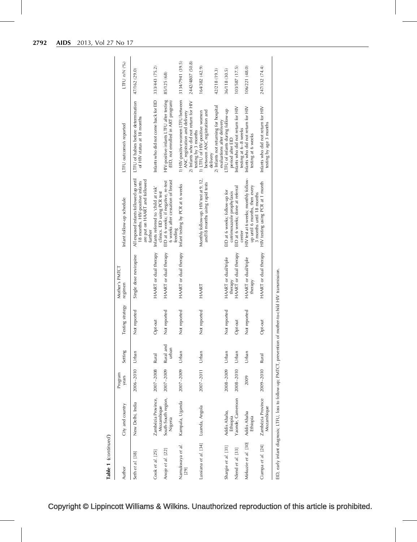| Table 1 (continued)      |                                                                         |                  |                    |                                      |                                 |                                                                                                                      |                                                                               |                  |
|--------------------------|-------------------------------------------------------------------------|------------------|--------------------|--------------------------------------|---------------------------------|----------------------------------------------------------------------------------------------------------------------|-------------------------------------------------------------------------------|------------------|
| Author                   | City and country                                                        | Program<br>years | Setting            | Testing strategy                     | Mother's PMTCT<br>regimen       | Infant follow-up schedule                                                                                            | LTFU outcome/s reported                                                       | LTFU n/N (%)     |
| Seth et al. [38]         | New Delhi, India                                                        | $2006 - 2010$    | Urban              | Not reported                         | Single dose nevirapine          | All exposed infants followed up until<br>are put on HAART and followed<br>18 months. HIV-positive infants<br>further | LTFU of babies before determination<br>of HIV status at 18 months             | 47/162 (29.0)    |
| Cook et al. [25]         | Zambézia Province,<br>Mozambique                                        | 2007-2008        | Rural              | Opt-out                              | HAART or dual therapy           | Infants referred to 'child at risk'<br>clinics. EID using PCR test                                                   | Infants who did not come back for EID                                         | 333/443 (75.2)   |
| Anoje et al. [22]        | South-South region,<br>Nigeria                                          | 2007-2009        | Rural and<br>urban | Not reported                         | HAART or dual therapy           | 6 weeks after cessation of breast<br>EID at 6 weeks; if negative, re-test<br>teeding                                 | HIV-positive infants LTFU after testing<br>(EID, not enrolled in ART program) | 85/125 (68)      |
| Namukwaya et al.<br>[29] | Kampala, Uganda                                                         | 2007-2009 Urban  |                    | Not reported                         | HAART or dual therapy           | Infant testing by PCR at 6 weeks                                                                                     | 1) HIV-positive women LTFU between<br>ANC registration and delivery           | 3134/7941 (39.5) |
|                          |                                                                         |                  |                    |                                      |                                 |                                                                                                                      | 2) Infants who did not return for HIV<br>testing by 3 months                  | 2442/4807 (50.8) |
| Lussiana et al. [34]     | Luanda, Angola                                                          | $2007 - 2011$    | Urban              | Not reported                         | HAART                           | Monthly follow-up. HIV test at 9, 12,<br>and18 months using rapid tests                                              | between ANC registration and<br>1) LTFU of HIV-positive women<br>delivery     | 164/382 (42.9)   |
|                          |                                                                         |                  |                    |                                      |                                 |                                                                                                                      | 2) Infants not returning for hospital<br>evaluations after delivery           | 42/218 (19.3)    |
| Shargie et al. [31]      | Addis Ababa,<br>Ethiopia                                                | 2008-2009        | Urban              | Not reported                         | HAART or dual/triple<br>therapy | EID at 6 weeks; follow-up for<br>cotrimoxazole prophylaxis                                                           | LTFU of infants during follow-up<br>period after EID                          | 36/118 (30.5)    |
| Nlend et al. [33]        | Yaonde, Cameroon                                                        | $2008 - 2010$    | Urban              | Opt-out                              | HAART or dual therapy           | EID at 6 weeks; done at referral<br>center                                                                           | Infants who did not return for HIV<br>testing at 6-8 weeks                    | 103/587 (17.5)   |
| Mirkuzie et al. [30]     | Addis Ababa<br>Ethiopia                                                 | 2009             | Urban              | Not reported                         | HAART or dual/triple<br>therapy | HIV test at 6 weeks; monthly follow-<br>up until 6 months, then every<br>3 months until 18 months                    | Infants who did not return for HIV<br>testing at 6 weeks                      | 106/221 (48.0)   |
| Ciampa et al. [24]       | Zambézia Province<br>Mozambique                                         | 2009-2010        | Rural              | Opt-out                              | HAART or dual therapy           | HIV testing using PCR at 1 month                                                                                     | Infants who did not return for HIV<br>testing by age 3 months                 | 247/332 (74.4)   |
|                          | EID, early infant diagnosis; LTFU, loss to follow-up; PMTCT, prevention |                  |                    | of mother-to-child HIV transmission. |                                 |                                                                                                                      |                                                                               |                  |

early infant diagnosis; LTFLJ, loss to follow-up; PMTCT, prevention of mother-to-child HIV transmission. EID, early infant diagnosis; LTFU, loss to follow-up; PMTCT, prevention of mother-to-child HIV transmission.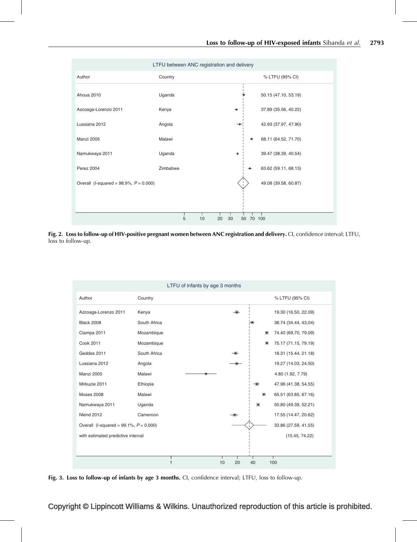<span id="page-6-0"></span>

Fig. 2. Loss to follow-up of HIV-positive pregnant women between ANC registration and delivery. CI, confidence interval; LTFU, loss to follow-up.



Fig. 3. Loss to follow-up of infants by age 3 months. CI, confidence interval; LTFU, loss to follow-up.

Copyright © Lippincott Williams & Wilkins. Unauthorized reproduction of this article is prohibited.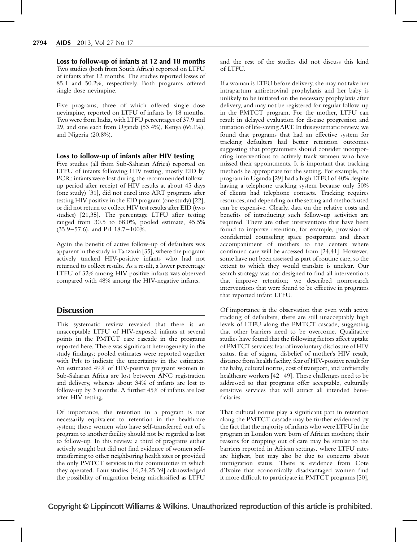Loss to follow-up of infants at 12 and 18 months Two studies (both from South Africa) reported on LTFU of infants after 12 months. The studies reported losses of 85.1 and 50.2%, respectively. Both programs offered single dose nevirapine.

Five programs, three of which offered single dose nevirapine, reported on LTFU of infants by 18 months. Two were from India, with LTFU percentages of 37.9 and 29, and one each from Uganda (53.4%), Kenya (66.1%), and Nigeria (20.8%).

#### Loss to follow-up of infants after HIV testing

Five studies (all from Sub-Saharan Africa) reported on LTFU of infants following HIV testing, mostly EID by PCR: infants were lost during the recommended followup period after receipt of HIV results at about 45 days (one study) [\[31\],](#page-9-0) did not enrol into ART programs after testing HIV positive in the EID program (one study) [\[22\]](#page-9-0), or did not return to collect HIV test results after EID (two studies) [\[21,35\]](#page-9-0). The percentage LTFU after testing ranged from 30.5 to 68.0%, pooled estimate, 45.5% (35.9–57.6), and PrI 18.7–100%.

Again the benefit of active follow-up of defaulters was apparent in the study in Tanzania [\[35\],](#page-9-0) where the program actively tracked HIV-positive infants who had not returned to collect results. As a result, a lower percentage LTFU of 32% among HIV-positive infants was observed compared with 48% among the HIV-negative infants.

## **Discussion**

This systematic review revealed that there is an unacceptable LTFU of HIV-exposed infants at several points in the PMTCT care cascade in the programs reported here. There was significant heterogeneity in the study findings; pooled estimates were reported together with PrIs to indicate the uncertainty in the estimates. An estimated 49% of HIV-positive pregnant women in Sub-Saharan Africa are lost between ANC registration and delivery, whereas about 34% of infants are lost to follow-up by 3 months. A further 45% of infants are lost after HIV testing.

Of importance, the retention in a program is not necessarily equivalent to retention in the healthcare system; those women who have self-transferred out of a program to another facility should not be regarded as lost to follow-up. In this review, a third of programs either actively sought but did not find evidence of women selftransferring to other neighboring health sites or provided the only PMTCT services in the communities in which they operated. Four studies [\[16,24,25,39\]](#page-9-0) acknowledged the possibility of migration being misclassified as LTFU

and the rest of the studies did not discuss this kind of LTFU.

If a woman is LTFU before delivery, she may not take her intrapartum antiretroviral prophylaxis and her baby is unlikely to be initiated on the necessary prophylaxis after delivery, and may not be registered for regular follow-up in the PMTCT program. For the mother, LTFU can result in delayed evaluation for disease progression and initiation of life-saving ART. In this systematic review, we found that programs that had an effective system for tracking defaulters had better retention outcomes suggesting that programmers should consider incorporating interventions to actively track women who have missed their appointments. It is important that tracking methods be appropriate for the setting. For example, the program in Uganda [\[29\]](#page-9-0) had a high LTFU of 40% despite having a telephone tracking system because only 50% of clients had telephone contacts. Tracking requires resources, and depending on the setting and methods used can be expensive. Clearly, data on the relative costs and benefits of introducing such follow-up activities are required. There are other interventions that have been found to improve retention, for example, provision of confidential counseling space postpartum and direct accompaniment of mothers to the centers where continued care will be accessed from [\[24,41\]](#page-9-0). However, some have not been assessed as part of routine care, so the extent to which they would translate is unclear. Our search strategy was not designed to find all interventions that improve retention; we described nonresearch interventions that were found to be effective in programs that reported infant LTFU.

Of importance is the observation that even with active tracking of defaulters, there are still unacceptably high levels of LTFU along the PMTCT cascade, suggesting that other barriers need to be overcome. Qualitative studies have found that the following factors affect uptake of PMTCT services: fear of involuntary disclosure of HIV status, fear of stigma, disbelief of mother's HIV result, distance from health facility, fear of HIV-positive result for the baby, cultural norms, cost of transport, and unfriendly healthcare workers [\[42–49\].](#page-10-0) These challenges need to be addressed so that programs offer acceptable, culturally sensitive services that will attract all intended beneficiaries.

That cultural norms play a significant part in retention along the PMTCT cascade may be further evidenced by the fact that the majority of infants who were LTFU in the program in London were born of African mothers; their reasons for dropping out of care may be similar to the barriers reported in African settings, where LTFU rates are highest, but may also be due to concerns about immigration status. There is evidence from Cote d'Ivoire that economically disadvantaged women find it more difficult to participate in PMTCT programs [\[50\]](#page-10-0),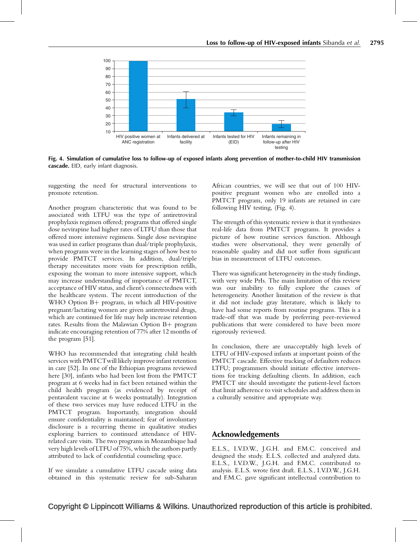

Fig. 4. Simulation of cumulative loss to follow-up of exposed infants along prevention of mother-to-child HIV transmission cascade. EID, early infant diagnosis.

suggesting the need for structural interventions to promote retention.

Another program characteristic that was found to be associated with LTFU was the type of antiretroviral prophylaxis regimen offered; programs that offered single dose nevirapine had higher rates of LTFU than those that offered more intensive regimens. Single dose nevirapine was used in earlier programs than dual/triple prophylaxis, when programs were in the learning stages of how best to provide PMTCT services. In addition, dual/triple therapy necessitates more visits for prescription refills, exposing the woman to more intensive support, which may increase understanding of importance of PMTCT, acceptance of HIV status, and client's connectedness with the healthcare system. The recent introduction of the WHO Option  $B+$  program, in which all HIV-positive pregnant/lactating women are given antiretroviral drugs, which are continued for life may help increase retention rates. Results from the Malawian Option  $B+$  program indicate encouraging retention of 77% after 12 months of the program [\[51\]](#page-10-0).

WHO has recommended that integrating child health services with PMTCTwill likely improve infant retention in care [\[52\]](#page-10-0). In one of the Ethiopian programs reviewed here [\[30\],](#page-9-0) infants who had been lost from the PMTCT program at 6 weeks had in fact been retained within the child health program (as evidenced by receipt of pentavalent vaccine at 6 weeks postnatally). Integration of these two services may have reduced LTFU in the PMTCT program. Importantly, integration should ensure confidentiality is maintained; fear of involuntary disclosure is a recurring theme in qualitative studies exploring barriers to continued attendance of HIVrelated care visits. The two programs in Mozambique had very high levels of LTFU of 75%, which the authors partly attributed to lack of confidential counseling space.

If we simulate a cumulative LTFU cascade using data obtained in this systematic review for sub-Saharan

African countries, we will see that out of 100 HIVpositive pregnant women who are enrolled into a PMTCT program, only 19 infants are retained in care following HIV testing, (Fig. 4).

The strength of this systematic review is that it synthesizes real-life data from PMTCT programs. It provides a picture of how routine services function. Although studies were observational, they were generally of reasonable quality and did not suffer from significant bias in measurement of LTFU outcomes.

There was significant heterogeneity in the study findings, with very wide PrIs. The main limitation of this review was our inability to fully explore the causes of heterogeneity. Another limitation of the review is that it did not include gray literature, which is likely to have had some reports from routine programs. This is a trade-off that was made by preferring peer-reviewed publications that were considered to have been more rigorously reviewed.

In conclusion, there are unacceptably high levels of LTFU of HIV-exposed infants at important points of the PMTCT cascade. Effective tracking of defaulters reduces LTFU; programmers should initiate effective interventions for tracking defaulting clients. In addition, each PMTCT site should investigate the patient-level factors that limit adherence to visit schedules and address them in a culturally sensitive and appropriate way.

## Acknowledgements

E.L.S., I.V.D.W., J.G.H. and F.M.C. conceived and designed the study. E.L.S. collected and analyzed data. E.L.S., I.V.D.W., J.G.H. and F.M.C. contributed to analysis. E.L.S. wrote first draft. E.L.S., I.V.D.W., J.G.H. and F.M.C. gave significant intellectual contribution to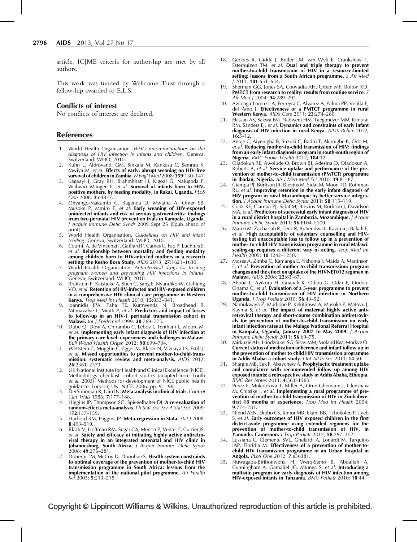<span id="page-9-0"></span>article. ICJME criteria for authorship are met by all authors.

This work was funded by Wellcome Trust through a fellowship awarded to E.L.S.

#### Conflicts of interest

No conflicts of interest are declared.

#### References

- 1. World Health Organisation. WHO recommendations on the diagnosis of HIV infection in infants and children. Geneva, Switzerland: WHO; 2010.
- 2. Kuhn L, Aldrovandi GM, Sinkala M, Kankasa C, Semrau K, Mwiya M, et al. Effects of early, abrupt weaning on HIV-free survival of children in Zambia.  $N$  Engl J Med 2008; 359:130-141.
- 3. Kagaayi J, Gray RH, Brahmbhatt H, Kigozi G, Nalugoda F, Wabwire-Mangen F, et al. Survival of infants born to HIVpositive mothers, by feeding modality, in Rakai, Uganda. PLoS One 2008; 3:e3877.
- 4. Onyango-Makumbi C, Bagenda D, Mwatha A, Omer SB, Musoke P, Mmiro F, et al. Early weaning of HIV-exposed uninfected infants and risk of serious gastroenteritis: findings from two perinatal HIV prevention trials in Kampala, Uganda. J Acquir Immune Defic Syndr 2009 Sept 25 [Epub ahead of print].
- 5. World Health Organisation. Guidelines on HIV and infant feeding. Geneva, Switzerland: WHO; 2010.
- 6. Cournil A, de Vincenzi I, Gaillard P, Cames C, Fao P, Luchters S, et al. Relationship between mortality and feeding modality among children born to HIV-infected mothers in a research setting: the Kesho Bora Study. AIDS 2013; 27:1621–1630.
- 7. World Health Organisation. Antiretroviral drugs for treating pregnant women and preventing HIV infections in infants. Geneva, Switzerland: WHO; 2010.
- 8. Braitstein P, Katshcke A, Shen C, Sang E, Nyandiko W, Ochieng VO, et al. Retention of HIV-infected and HIV-exposed children in a comprehensive HIV clinical care programme in Western Kenya. Trop Med Int Health 2010; 15:833–841.
- 9. Ioannidis JPA, Taha TE, Kumwenda N, Broadhead R, Mtimavalye L, Miotti P, et *al*. **Predictors and impact of losses** to follow-up in an HIV-1 perinatal transmission cohort in Malawi. Int J Epidemiol 1999; 28:769–775.
- 10. Dube Q, Dow A, Chirambo C, Lebov J, Tenthani L, Moore M, et al. Implementing early infant diagnosis of HIV infection at the primary care level: experiences and challenges in Malawi. Bull World Health Organ 2012; 90:699–704.
- 11. Wettstein C, Mugglin C, Egger M, Blaser N, Vizcaya LS, Estill J, et al. Missed opportunities to prevent mother-to-child-transmission: systematic review and meta-analysis. AIDS 2012; 26:2361–2373.
- 12. UK National Institute for Health and Clinical Excellence (NICE). Methodology checklist: cohort studies (adapted from Tooth et al. 2005). Methods for development of NICE public health guidance. London, UK: NICE; 2006. pp. 91–96.
- 13. DerSimonian R, Laird N. Meta-analysis in clinical trials. Control Clin Trials 1986; 7:177–188.
- 14. Higgins JP, Thompson SG, Spiegelhalter DJ. A re-evaluation of random-effects meta-analysis. J R Stat Soc Ser A Stat Soc 2009; 172:137–159.
- 15. Harbord RM, Higgins JP. Meta-regression in Stata. Stat J 2008; 8:493–519.
- 16. Black V, Hoffman RM, Sugar CA, Menon P, Venter F, Currier JS, et al. Safety and efficacy of initiating highly active antiretroviral therapy in an integrated antenatal and HIV clinic in Johannesburg, South Africa. J Acquir Immune Defic Syndr 2008; 49:276–281.
- 17. Doherty TM, McCoy D, Donohue S. Health system constraints to optimal coverage of the prevention of mother-to-child HIV transmission programme in South Africa: lessons from the implementation of the national pilot programme. Afr Health Sci 2005; 5:213–218.
- 18. Geddes R, Giddy J, Butler LM, van Wyk E, Crankshaw T, Esterhuizen TM, et al. Dual and triple therapy to prevent mother-to-child transmission of HIV in a resource-limited setting: lessons from a South African programme. S Afr Med J 2011; 101:651–654.
- 19. Sherman GG, Jones SA, Coovadia AH, Urban MF, Bolton KD. PMTCT from research to reality: results from routine service. S Afr Med J 2004; 94:289-292.
- 20. Azcoaga-Lorenzo A, Ferreyra C, Alvarez A, Palma PP, Velilla E, del Amo J. Effectiveness of a PMTCT programme in rural Western Kenya. AIDS Care 2011; 23:274-280.
- 21. Hassan AS, Sakwa EM, Nabwera HM, Taegtmeyer MM, Kimutai RM, Sanders EJ, et al. Dynamics and constraints of early infant diagnosis of HIV infection in rural Kenya. AIDS Behav 2012;  $16:5-12.$
- 22. Anoje C, Aiyenigba B, Suzuki C, Badru T, Akpoigbe K, Odo M, et al. Reducing mother-to-child transmission of HIV: findings from an early infant diagnosis program in south-south region of Nigeria. BMC Public Health 2012; 184:12.
- 23. Oladokun RE, Awolude O, Brown BJ, Adesina O, Oladokun A, Roberts A, et al. Service uptake and performance of the prevention of mother-to-child transmission (PMTCT) programme in Ibadan, Nigeria. Afr J Med Med Sci 2010; 39:81-87
- 24. Ciampa PJ, Burlison JR, Blevins M, Sidat M, Moon TD, Rothman RL, et al. Improving retention in the early infant diagnosis of HIV program in rural Mozambique by better service integration. *J Acquir Immune Defic Syndr* 2011; 58:115-119.
- 25. Cook RE, Ciampa PJ, Sidat M, Blevins M, Burlison J, Davidson MA, et al. Predictors of successful early infant diagnosis of HIV in a rural district hospital in Zambezia, Mozambique. J Acquir Immune Defic Syndr 2011; 56:E104–E109.
- 26. Manzi M, Zachariah R, Teck R, Buhendwa L, Kazima J, Bakali E, et al. High acceptability of voluntary counselling and HIVtesting but unacceptable loss to follow up in a prevention of mother-to-child HIV transmission programme in rural Malawi: scaling-up requires a different way of acting. Trop Med Int Health 2005; 10:1242–1250.
- 27. Moses A, Zimba C, Kamanga E, Nkhoma J, Maida A, Martinson F, et al. Prevention of mother-to-child transmission: program changes and the effect on uptake of the HIVNET012 regimen in Malawi. AIDS 2008; 22:83–87.
- 28. Ahoua L, Ayikoru H, Gnauck K, Odaru G, Odar E, Ondoa-Onama C, et al. **Evaluation of a 5-year programme to prevent** mother-to-child transmission of HIV infection in Northern Uganda. J Trop Pediatr 2010; 56:43–52.
- 29. Namukwaya Ż, Mudiope P, Kekitiinwa A, Musoke P, Matovu J, Kayma S, et al. The impact of maternal highly active antiretroviral therapy and short-course combination antiretrovirals for prevention of mother-to-child transmission on early infant infection rates at the Mulago National Referral Hospital in Kampala, Uganda, January  $2007$  to May 2009. J Acquir Immune Defic Syndr 2011; 56:69–75.
- 30. Mirkuzie AH, Hinderaker SG, Sisay MM, Moland KM, Morkve O. Current status of medication adherence and infant follow up in the prevention of mother to child HIV transmission programme in Addis Ababa: a cohort study. J Int AIDS Soc 2011; 14:50.
- 31. Shargie MB, Eek F, Abaychew A. **Prophylactic treatment uptake** and compliance with recommended follow up among HIV exposed infants: a retrospective study in Addis Ababa, Ethiopia. BMC Res Notes 2011; 4:563–1563.
- 32. Perez F, Mukotekwa T, Miller A, Orne-Gliemann J, Glenshaw M, Chitsike I, et al. Implementing a rural programme of prevention of mother-to-child transmission of HIV in Zimbabwe: first 18 months of experience. Trop Med Int Health 2004; 9:774–783.
- 33. Nlend AEN, Ekobo CS, Junior MB, Ekani BB, Tchokoteu P, Lyeb S, et al. Early outcomes of HIV exposed children in the first district-wide programme using extended regimens for the prevention of mother-to-child transmission of HIV, in Yaounde, Cameroon. J Trop Pediatr 2012; 58:297-302.
- 34. Lussiana C, Clemente SVL, Ghelardi A, Lonardi M, Tarquino IAP, Floridia M. Effectiveness of a prevention of mother-tochild HIV transmission programme in an Urban hospital in Angola. PLoS One 2012; 7:e36381.
- 35. Nuwagaba-Biribonwoha H, Werq-Semo B, Abdallah A, Cunningham A, Gamaliel JG, Mtunga S, et al. Introducing a multisite program for early diagnosis of HIV infection among HIV-exposed infants in Tanzania. BMC Pediatr 2010; 10:44.